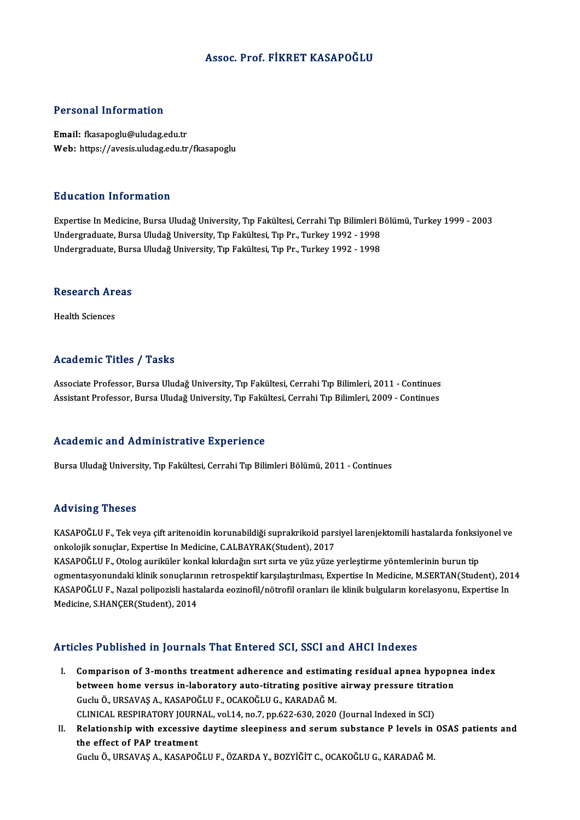#### Assoc. Prof. FİKRET KASAPOĞLU

#### Personal Information

Email: fkasapoglu@uludag.edu.tr Web: https://avesis.uludag.edu.tr/fkasapoglu

#### Education Information

E<mark>ducation Information</mark><br>Expertise In Medicine, Bursa Uludağ University, Tıp Fakültesi, Cerrahi Tıp Bilimleri Bölümü, Turkey 1999 - 2003<br>Undergraduate Burga Uludağ University Tıp Fakültesi Tıp Pr. Turkey 1992, 1999 undergraduat in Samanon<br>Expertise In Medicine, Bursa Uludağ University, Tıp Fakültesi, Cerrahi Tıp Bilimleri B<br>Undergraduate, Bursa Uludağ University, Tıp Fakültesi, Tıp Pr., Turkey 1992 - 1998<br>Undergraduate, Bursa Uludağ Undergraduate, Bursa Uludağ University, Tıp Fakültesi, Tıp Pr., Turkey 1992 - 1998<br>Undergraduate, Bursa Uludağ University, Tıp Fakültesi, Tıp Pr., Turkey 1992 - 1998

### ondergraduate, Burs<br>Research Areas R<mark>esearch Ar</mark><br>Health Sciences

### Academic Titles / Tasks

Associate Professor, Bursa Uludağ University, Tıp Fakültesi, Cerrahi Tıp Bilimleri, 2011 - Continues Assistant Professor, Bursa Uludağ University, Tıp Fakültesi, Cerrahi Tıp Bilimleri, 2009 - Continues

#### Academic and Administrative Experience

Bursa Uludağ University, Tıp Fakültesi, Cerrahi Tıp Bilimleri Bölümü, 2011 - Continues

#### Advising Theses

KASAPOĞLUF., Tek veya çift aritenoidin korunabildiği suprakrikoid parsiyel larenjektomili hastalarda fonksiyonel ve onkolojik sonuçlar, Expertise In Medicine, C.ALBAYRAK(Student), 2017 KASAPOĞLU F., Tek veya çift aritenoidin korunabildiği suprakrikoid parsiyel larenjektomili hastalarda fonksiy<br>onkolojik sonuçlar, Expertise In Medicine, C.ALBAYRAK(Student), 2017<br>KASAPOĞLU F., Otolog auriküler konkal kıkır

onkolojik sonuçlar, Expertise In Medicine, C.ALBAYRAK(Student), 2017<br>KASAPOĞLU F., Otolog auriküler konkal kıkırdağın sırt sırta ve yüz yüze yerleştirme yöntemlerinin burun tip<br>ogmentasyonundaki klinik sonuçlarının retrosp KASAPOĞLU F., Otolog auriküler konkal kıkırdağın sırt sırta ve yüz yüze yerleştirme yöntemlerinin burun tip<br>ogmentasyonundaki klinik sonuçlarının retrospektif karşılaştırılması, Expertise In Medicine, M.SERTAN(Student), 20 ogmentasyonundaki klinik sonuçların<br>KASAPOĞLU F., Nazal polipozisli hast<br>Medicine, S.HANÇER(Student), 2014

# Medicine, S.HANÇER(Student), 2014<br>Articles Published in Journals That Entered SCI, SSCI and AHCI Indexes

- I. Comparison of 3-months treatment adherence and estimating residual apnea hypopnea index between home versus in-laboratory auto-titrating positive airway pressure titration<br>between home versus in-laboratory auto-titrating positive airway pressure titration<br>Cushi O, URSAVAS A, VASAROČUUE, OCAVOČUUC, VARADAČ M Comparison of 3-months treatment adherence and estimat<br>between home versus in-laboratory auto-titrating positive<br>Guclu Ö., URSAVAŞ A., KASAPOĞLU F., OCAKOĞLU G., KARADAĞ M.<br>CUNICAL PESPIRATORY JOURNAL, vol.14, po 7, pp.622 between home versus in-laboratory auto-titrating positive airway pressure titra<br>Guclu Ö., URSAVAŞ A., KASAPOĞLU F., OCAKOĞLU G., KARADAĞ M.<br>CLINICAL RESPIRATORY JOURNAL, vol.14, no.7, pp.622-630, 2020 (Journal Indexed in S Guclu Ö., URSAVAŞ A., KASAPOĞLU F., OCAKOĞLU G., KARADAĞ M.<br>CLINICAL RESPIRATORY JOURNAL, vol.14, no.7, pp.622-630, 2020 (Journal Indexed in SCI)<br>II. Relationship with excessive daytime sleepiness and serum substance P lev
- CLINICAL RESPIRATORY JOURN<br>Relationship with excessive<br>the effect of PAP treatment Relationship with excessive daytime sleepiness and serum substance P levels in<br>the effect of PAP treatment<br>Guclu Ö., URSAVAŞ A., KASAPOĞLU F., ÖZARDA Y., BOZYİĞİT C., OCAKOĞLU G., KARADAĞ M.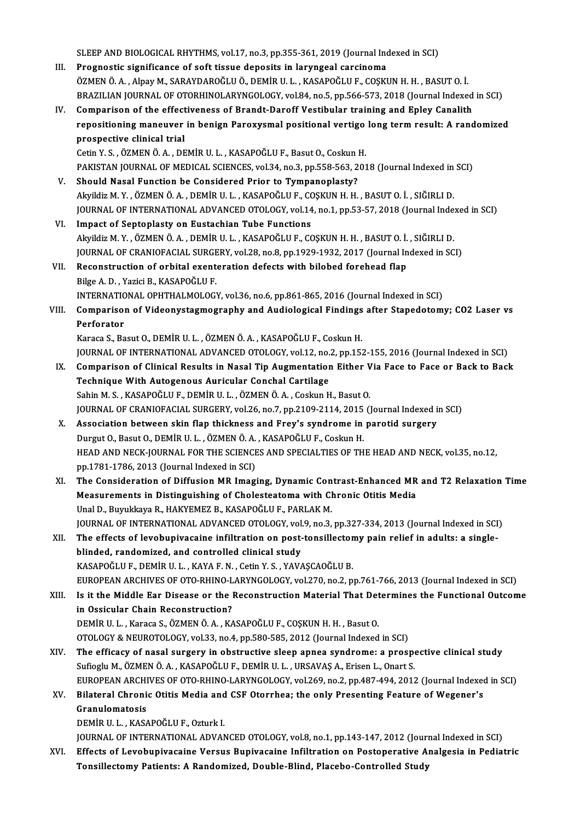SLEEP AND BIOLOGICAL RHYTHMS, vol.17, no.3, pp.355-361, 2019 (Journal Indexed in SCI)<br>Pregnestis significance of seft tissue denosits in Jarungeal sansineme SLEEP AND BIOLOGICAL RHYTHMS, vol.17, no.3, pp.355-361, 2019 (Journal Inc<br>III. Prognostic significance of soft tissue deposits in laryngeal carcinoma<br>ÖZMEN Ö A Albay M SARAYDAROČULÖ, DEMİR U U KASAROČULE COSKI III. Prognostic significance of soft tissue deposits in laryngeal carcinoma<br>ÖZMEN Ö.A., Alpay M., SARAYDAROĞLU Ö., DEMİR U. L., KASAPOĞLU F., COSKUN H. H., BASUT O. İ. BRAZILIAN JOURNAL OF OTORHINOLARYNGOLOGY, vol.84, no.5, pp.566-573, 2018 (Journal Indexed in SCI) IV. Comparison of the effectiveness of Brandt-Daroff Vestibular training and Epley Canalith BRAZILIAN JOURNAL OF OTORHINOLARYNGOLOGY, vol.84, no.5, pp.566-573, 2018 (Journal Indexed in SCI)<br>Comparison of the effectiveness of Brandt-Daroff Vestibular training and Epley Canalith<br>repositioning maneuver in benign Par Comparison of the effect<br>repositioning maneuver<br>prospective clinical trial<br>Cetin V.S. ÖZMEN Ö.A. DE repositioning maneuver in benign Paroxysmal positional vertigo<br>prospective clinical trial<br>Cetin Y. S. , ÖZMEN Ö. A. , DEMİR U. L. , KASAPOĞLU F., Basut O., Coskun H.<br>PAKISTAN JOUPNAL OF MEDICAL SCIENCES vol 34. po 3. pp 55 prospective clinical trial<br>Cetin Y. S. , ÖZMEN Ö. A. , DEMİR U. L. , KASAPOĞLU F., Basut O., Coskun H.<br>PAKISTAN JOURNAL OF MEDICAL SCIENCES, vol.34, no.3, pp.558-563, 2018 (Journal Indexed in SCI) V. Should Nasal Function be Considered Prior to Tympanoplasty? PAKISTAN JOURNAL OF MEDICAL SCIENCES, vol.34, no.3, pp.558-563, 2018 (Journal Indexed in<br>Should Nasal Function be Considered Prior to Tympanoplasty?<br>Akyildiz M. Y. , ÖZMEN Ö. A. , DEMİR U. L. , KASAPOĞLU F., COŞKUN H. H. , JOURNAL OF INTERNATIONAL ADVANCED OTOLOGY, vol.14, no.1, pp.53-57, 2018 (Journal Indexed in SCI)<br>VI. Impact of Septoplasty on Eustachian Tube Functions Akyildiz M. Y., ÖZMEN Ö. A., DEMİR U. L., KASAPOĞLU F., CONATIONAL OF INTERNATIONAL ADVANCED OTOLOGY, vol.14<br>VI. Impact of Septoplasty on Eustachian Tube Functions JOURNAL OF INTERNATIONAL ADVANCED OTOLOGY, vol.14, no.1, pp.53-57, 2018 (Journal Inde:<br>Impact of Septoplasty on Eustachian Tube Functions<br>Akyildiz M.Y. , ÖZMEN Ö. A. , DEMİR U. L. , KASAPOĞLU F., COŞKUN H. H. , BASUT O. İ. Impact of Septoplasty on Eustachian Tube Functions<br>Akyildiz M. Y. , ÖZMEN Ö. A. , DEMİR U. L. , KASAPOĞLU F., COŞKUN H. H. , BASUT O. İ. , SIĞIRLI D.<br>JOURNAL OF CRANIOFACIAL SURGERY, vol.28, no.8, pp.1929-1932, 2017 (Journ Akyildiz M. Y. , ÖZMEN Ö. A. , DEMİR U. L. , KASAPOĞLU F., COŞKUN H. H. , BASUT O. İ.<br>JOURNAL OF CRANIOFACIAL SURGERY, vol.28, no.8, pp.1929-1932, 2017 (Journal In<br>VII. Reconstruction of orbital exenteration defects with b JOURNAL OF CRANIOFACIAL SURGE<br>Reconstruction of orbital exent<br>Bilge A. D. , Yazici B., KASAPOĞLU F.<br>INTERNATIONAL OPHTHALMOLOCI VII. Reconstruction of orbital exenteration defects with bilobed forehead flap<br>Bilge A. D., Yazici B., KASAPOĞLU F.<br>INTERNATIONAL OPHTHALMOLOGY, vol.36, no.6, pp.861-865, 2016 (Journal Indexed in SCI) Bilge A. D. , Yazici B., KASAPOĞLU F.<br>INTERNATIONAL OPHTHALMOLOGY, vol.36, no.6, pp.861-865, 2016 (Journal Indexed in SCI)<br>VIII. Comparison of Videonystagmography and Audiological Findings after Stapedotomy; CO2 Laser v **INTERNATIC<br>Comparisor**<br>Perforator<br>*Verses* S. Po Comparison of Videonystagmography and Audiological Findings<br>Perforator<br>Karaca S., Basut O., DEMİR U. L. , ÖZMEN Ö. A. , KASAPOĞLU F., Coskun H.<br>JOUPNAL OE INTERNATIONAL ADVANCED OTOLOCY vol 12 no 2 nn 15: Perforator<br>Karaca S., Basut O., DEMİR U. L. , ÖZMEN Ö. A. , KASAPOĞLU F., Coskun H.<br>JOURNAL OF INTERNATIONAL ADVANCED OTOLOGY, vol.12, no.2, pp.152-155, 2016 (Journal Indexed in SCI) Karaca S., Basut O., DEMİR U. L. , ÖZMEN Ö. A. , KASAPOĞLU F., Coskun H.<br>JOURNAL OF INTERNATIONAL ADVANCED OTOLOGY, vol.12, no.2, pp.152-155, 2016 (Journal Indexed in SCI)<br>IX. Comparison of Clinical Results in Nasal Tip Au JOURNAL OF INTERNATIONAL ADVANCED OTOLOGY, vol.12, no.<br>Comparison of Clinical Results in Nasal Tip Augmentation<br>Technique With Autogenous Auricular Conchal Cartilage<br>Sabin M.S., KASAROČUJE, DEMIRJU J., ÖZMENÖÅÅ, Coslave H Comparison of Clinical Results in Nasal Tip Augmentation Either V<br>Technique With Autogenous Auricular Conchal Cartilage<br>Sahin M.S., KASAPOĞLU F., DEMİR U.L., ÖZMEN Ö.A., Coskun H., Basut O.<br>JOUPMAL OF CRANIOFACIAL SURCERY Technique With Autogenous Auricular Conchal Cartilage<br>Sahin M. S., KASAPOĞLU F., DEMİR U. L., ÖZMEN Ö. A., Coskun H., Basut O.<br>JOURNAL OF CRANIOFACIAL SURGERY, vol.26, no.7, pp.2109-2114, 2015 (Journal Indexed in SCI)<br>Asso Sahin M. S., KASAPOĞLU F., DEMİR U. L., ÖZMEN Ö. A., Coskun H., Basut O.<br>JOURNAL OF CRANIOFACIAL SURGERY, vol.26, no.7, pp.2109-2114, 2015 (Journal Indexed in<br>X. Association between skin flap thickness and Frey's syndrome JOURNAL OF CRANIOFACIAL SURGERY, vol.26, no.7, pp.2109-2114, 2015<br>Association between skin flap thickness and Frey's syndrome in<br>Durgut O., Basut O., DEMİR U. L. , ÖZMEN Ö. A. , KASAPOĞLU F., Coskun H.<br>HEAD AND NECK JOURNA Association between skin flap thickness and Frey's syndrome in parotid surgery<br>Durgut O., Basut O., DEMİR U. L. , ÖZMEN Ö. A. , KASAPOĞLU F., Coskun H.<br>HEAD AND NECK-JOURNAL FOR THE SCIENCES AND SPECIALTIES OF THE HEAD AND Durgut O., Basut O., DEMİR U. L. , ÖZMEN Ö. A.<br>HEAD AND NECK-JOURNAL FOR THE SCIENCE<br>pp.1781-1786, 2013 (Journal Indexed in SCI)<br>The Consideration of Diffusion MB Imagi pp.1781-1786, 2013 (Journal Indexed in SCI)<br>XI. The Consideration of Diffusion MR Imaging, Dynamic Contrast-Enhanced MR and T2 Relaxation Time pp.1781-1786, 2013 (Journal Indexed in SCI)<br>The Consideration of Diffusion MR Imaging, Dynamic Contrast-Enhanced MR<br>Measurements in Distinguishing of Cholesteatoma with Chronic Otitis Media<br>Unal D. Burukkaye B. HAKVEMEZ B. The Consideration of Diffusion MR Imaging, Dynamic Con<br>Measurements in Distinguishing of Cholesteatoma with Cl<br>Unal D., Buyukkaya R., HAKYEMEZ B., KASAPOĞLU F., PARLAK M.<br>JOUPNAL OF INTERNATIONAL ADVANCED OTOLOCY vol.9, p. Unal D., Buyukkaya R., HAKYEMEZ B., KASAPOĞLU F., PARLAK M.<br>JOURNAL OF INTERNATIONAL ADVANCED OTOLOGY, vol.9, no.3, pp.327-334, 2013 (Journal Indexed in SCI) Unal D., Buyukkaya R., HAKYEMEZ B., KASAPOĞLU F., PARLAK M.<br>JOURNAL OF INTERNATIONAL ADVANCED OTOLOGY, vol.9, no.3, pp.327-334, 2013 (Journal Indexed in SCI<br>XII. The effects of levobupivacaine infiltration on post-tonsille JOURNAL OF INTERNATIONAL ADVANCED OTOLOGY, vol<br>The effects of levobupivacaine infiltration on post-<br>blinded, randomized, and controlled clinical study<br>KASAPOČLUE DEMIRULL KAYAE N. Cetin V.S., YAYA The effects of levobupivacaine infiltration on post-tonsillector<br>blinded, randomized, and controlled clinical study<br>KASAPOĞLU F., DEMİR U. L. , KAYA F. N. , Cetin Y. S. , YAVAŞCAOĞLU B.<br>FUROPEAN ARCHIVES OF OTO PHINO LARYN blinded, randomized, and controlled clinical study<br>KASAPOĞLU F., DEMİR U. L. , KAYA F. N. , Cetin Y. S. , YAVAŞCAOĞLU B.<br>EUROPEAN ARCHIVES OF OTO-RHINO-LARYNGOLOGY, vol.270, no.2, pp.761-766, 2013 (Journal Indexed in SCI)<br> KASAPOĞLU F., DEMİR U. L. , KAYA F. N. , Cetin Y. S. , YAVAŞCAOĞLU B.<br>EUROPEAN ARCHIVES OF OTO-RHINO-LARYNGOLOGY, vol.270, no.2, pp.761-766, 2013 (Journal Indexed in SCI)<br>XIII. Is it the Middle Ear Disease or the Reconstru EUROPEAN ARCHIVES OF OTO-RHINO-L<br>Is it the Middle Ear Disease or the l<br>in Ossicular Chain Reconstruction?<br>DEMIP ILL - Karaca S. ÖZMEN Ö.A. KA Is it the Middle Ear Disease or the Reconstruction Material That Determines the Functional Outcome<br>in Ossicular Chain Reconstruction?<br>DEMİR U. L. , Karaca S., ÖZMEN Ö. A. , KASAPOĞLU F., COŞKUN H. H. , Basut O. in Ossicular Chain Reconstruction?<br>DEMİR U. L. , Karaca S., ÖZMEN Ö. A. , KASAPOĞLU F., COŞKUN H. H. , Basut O.<br>OTOLOGY & NEUROTOLOGY, vol.33, no.4, pp.580-585, 2012 (Journal Indexed in SCI)<br>The efficesy of nosel surgery i XIV. The efficacy of nasal surgery in obstructive sleep apnea syndrome: a prospective clinical study<br>Sufioglu M., ÖZMEN Ö. A., KASAPOĞLU F., DEMİR U. L., URSAVAS A., Erisen L., Onart S. OTOLOGY & NEUROTOLOGY, vol.33, no.4, pp.580-585, 2012 (Journal Indexed in SCI)<br>The efficacy of nasal surgery in obstructive sleep apnea syndrome: a prospe<br>Sufioglu M., ÖZMEN Ö. A. , KASAPOĞLU F., DEMİR U. L. , URSAVAŞ A., EUROPEAN ARCHIVES OF OTO-RHINO-LARYNGOLOGY, vol.269, no.2, pp.487-494, 2012 (Journal Indexed in SCI) Sufioglu M., ÖZMEN Ö. A., KASAPOĞLU F., DEMİR U. L., URSAVAŞ A., Erisen L., Onart S.<br>EUROPEAN ARCHIVES OF OTO-RHINO-LARYNGOLOGY, vol.269, no.2, pp.487-494, 2012 (Journal Indexed<br>XV. Bilateral Chronic Otitis Media and CSF O Granulomatosis<br>DEMİR U.L., KASAPOĞLU F., Ozturk I. Bilateral Chronic Otitis Media and<br>Granulomatosis<br>DEMİR U. L. , KASAPOĞLU F., Ozturk I.<br>JOUPNAL OF INTERNATIONAL ADVAN JOURNAL OF INTERNATIONAL ADVANCED OTOLOGY, vol.8, no.1, pp.143-147, 2012 (Journal Indexed in SCI) XVI. Effects of Levobupivacaine Versus Bupivacaine Infiltration on Postoperative Analgesia in Pediatric Tonsillectomy Patients: A Randomized, Double-Blind, Placebo-Controlled Study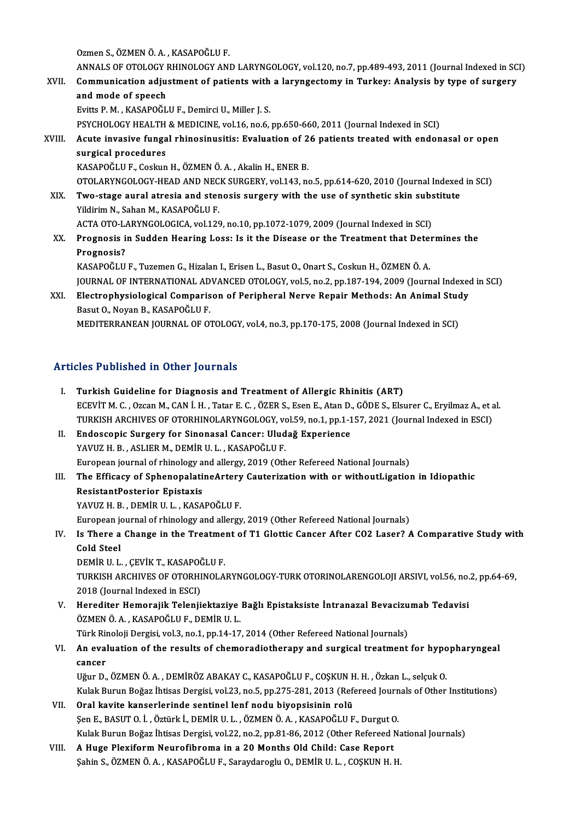Ozmen S., ÖZMEN Ö. A., KASAPOĞLU F.

Ozmen S., ÖZMEN Ö. A. , KASAPOĞLU F.<br>ANNALS OF OTOLOGY RHINOLOGY AND LARYNGOLOGY, vol.120, no.7, pp.489-493, 2011 (Journal Indexed in SCI)<br>Communication adjustment of nationts with a laryngostomy in Turkeyy Analysis by typ

Ozmen S., ÖZMEN Ö. A. , KASAPOĞLU F.<br>ANNALS OF OTOLOGY RHINOLOGY AND LARYNGOLOGY, vol.120, no.7, pp.489-493, 2011 (Journal Indexed in SC<br>XVII. Communication adjustment of patients with a laryngectomy in Turkey: Analysis by ANNALS OF OTOLOGY I<br>Communication adju<br>and mode of speech<br>Fuitte B M – KASABOČI Communication adjustment of patients with a laryngectomy in Turkey: Analysis by type of surgery and mode of speech<br>Evitts P.M., KASAPOĞLU F., Demirci U., Miller J. S.

PSYCHOLOGY HEALTH & MEDICINE, vol.16, no.6, pp.650-660, 2011 (Journal Indexed in SCI)

Evitts P. M. , KASAPOĞLU F., Demirci U., Miller J. S.<br>PSYCHOLOGY HEALTH & MEDICINE, vol.16, no.6, pp.650-660, 2011 (Journal Indexed in SCI)<br>XVIII. Acute invasive fungal rhinosinusitis: Evaluation of 26 patients treated wit PSYCHOLOGY HEALTH<br>Acute invasive funga<br>surgical procedures<br>KASAPOČI UE Cockup Acute invasive fungal rhinosinusitis: Evaluation of 2<br>surgical procedures<br>KASAPOĞLU F., Coskun H., ÖZMEN Ö. A. , Akalin H., ENER B.<br>OTOLAPYNCOLOCY HEAD AND NECK SUBCEPY vol 143 re surgical procedures<br>KASAPOĞLU F., Coskun H., ÖZMEN Ö. A. , Akalin H., ENER B.<br>OTOLARYNGOLOGY-HEAD AND NECK SURGERY, vol.143, no.5, pp.614-620, 2010 (Journal Indexed in SCI)<br>Ture stage aural stresia and stanosis surgery wit

- KASAPOĞLU F., Coskun H., ÖZMEN Ö. A. , Akalin H., ENER B.<br>OTOLARYNGOLOGY-HEAD AND NECK SURGERY, vol.143, no.5, pp.614-620, 2010 (Journal Indexed<br>XIX. Two-stage aural atresia and stenosis surgery with the use of synthet OTOLARYNGOLOGY-HEAD AND NEC<br>Two-stage aural atresia and ster<br>Yildirim N., Sahan M., KASAPOĞLU F.<br>ACTA OTO LABYNCOLOGICA yel 126 Two-stage aural atresia and stenosis surgery with the use of synthetic skin substitute<br>Yildirim N., Sahan M., KASAPOĞLU F.<br>ACTA OTO-LARYNGOLOGICA, vol.129, no.10, pp.1072-1079, 2009 (Journal Indexed in SCI)
- Yildirim N., Sahan M., KASAPOĞLU F.<br>ACTA OTO-LARYNGOLOGICA, vol.129, no.10, pp.1072-1079, 2009 (Journal Indexed in SCI)<br>XX. Prognosis in Sudden Hearing Loss: Is it the Disease or the Treatment that Determines the<br>Prognosis ACTA OTO-L<mark>.</mark><br>Prognosis i<br>Prognosis?<br>KASADOČUU Prognosis in Sudden Hearing Loss: Is it the Disease or the Treatment that Dete:<br>Prognosis?<br>KASAPOĞLU F., Tuzemen G., Hizalan I., Erisen L., Basut O., Onart S., Coskun H., ÖZMEN Ö. A.<br>JOUPMAL OF INTERNATIONAL ADVANCED OTOLO

Prognosis?<br>KASAPOĞLU F., Tuzemen G., Hizalan I., Erisen L., Basut O., Onart S., Coskun H., ÖZMEN Ö. A.<br>JOURNAL OF INTERNATIONAL ADVANCED OTOLOGY, vol.5, no.2, pp.187-194, 2009 (Journal Indexed in SCI) KASAPOĞLU F., Tuzemen G., Hizalan I., Erisen L., Basut O., Onart S., Coskun H., ÖZMEN Ö. A.<br>JOURNAL OF INTERNATIONAL ADVANCED OTOLOGY, vol.5, no.2, pp.187-194, 2009 (Journal Indexed<br>XXI. Electrophysiological Comparison of

JOURNAL OF INTERNATIONAL AD<br>Electrophysiological Comparis<br>Basut O., Noyan B., KASAPOĞLU F.<br>MEDITERRANEAN JOURNAL OF O. Electrophysiological Comparison of Peripheral Nerve Repair Methods: An Animal Stud<br>Basut O., Noyan B., KASAPOĞLU F.<br>MEDITERRANEAN JOURNAL OF OTOLOGY, vol.4, no.3, pp.170-175, 2008 (Journal Indexed in SCI)

# MEDITERRANEAN JOURNAL OF OTOLOGY, vol.4, no.3, pp.170-175, 2008 (Journal Indexed in SCI)<br>Articles Published in Other Journals

- I. Turkish Guideline for Diagnosis and Treatment of Allergic Rhinitis (ART) Turkish Guideline for Diagnosis and Treatment of Allergic Rhinitis (ART)<br>ECEVİT M. C. , Ozcan M., CAN İ. H. , Tatar E. C. , ÖZER S., Esen E., Atan D., GÖDE S., Elsurer C., Eryilmaz A., et al.<br>TURKISH ARCHIVES OF OTORHINOLA Turkish Guideline for Diagnosis and Treatment of Allergic Rhinitis (ART)<br>ECEVİT M. C. , Ozcan M., CAN İ. H. , Tatar E. C. , ÖZER S., Esen E., Atan D., GÖDE S., Elsurer C., Eryilmaz A., et a<br>TURKISH ARCHIVES OF OTORHINOLARY ECEVİT M. C. , Ozcan M., CAN İ. H. , Tatar E. C. , ÖZER S., Esen E., Atan D.<br>TURKISH ARCHIVES OF OTORHINOLARYNGOLOGY, vol.59, no.1, pp.1-1<br>II. Endoscopic Surgery for Sinonasal Cancer: Uludağ Experience<br>YAVIIZ H. P. ASI IER
- TURKISH ARCHIVES OF OTORHINOLARYNGOLOGY, vol.59, no.1, pp.1-157, 2021 (Journal Indexed in ESCI)<br>II. Endoscopic Surgery for Sinonasal Cancer: Uludağ Experience<br>YAVUZ H. B. , ASLIER M., DEMİR U. L. , KASAPOĞLU F. Endoscopic Surgery for Sinonasal Cancer: Uludağ Experience<br>YAVUZ H. B. , ASLIER M., DEMİR U. L. , KASAPOĞLU F.<br>European journal of rhinology and allergy, 2019 (Other Refereed National Journals)<br>The Efficesy of Sphanopolati
- YAVUZ H. B. , ASLIER M., DEMİR U. L. , KASAPOĞLU F.<br>European journal of rhinology and allergy, 2019 (Other Refereed National Journals)<br>III. The Efficacy of SphenopalatineArtery Cauterization with or withoutLigation in Idio European journal of rhinology a<br>The Efficacy of Sphenopalati<br>ResistantPosterior Epistaxis<br>YAVUZ H B - DEM<sup>ip II I - KASA</sup> The Efficacy of SphenopalatineArtery<br>ResistantPosterior Epistaxis<br>YAVUZ H. B. , DEMİR U. L. , KASAPOĞLU F.<br>European iournal of rhinology and allorgy ResistantPosterior Epistaxis<br>YAVUZ H. B. , DEMİR U. L. , KASAPOĞLU F.<br>European journal of rhinology and allergy, 2019 (Other Refereed National Journals)<br>Is There a Change in the Treatment of T1 Clettis Consen After CO3 Les

YAVUZ H. B. , DEMİR U. L. , KASAPOĞLU F.<br>European journal of rhinology and allergy, 2019 (Other Refereed National Journals)<br>IV. Is There a Change in the Treatment of T1 Glottic Cancer After CO2 Laser? A Comparative Study w European jo<br>I<mark>s There a</mark><br>Cold Steel<br>DEM<sup>ip II I</sup> Is There a Change in the Treatme:<br>Cold Steel<br>DEMİR U.L. , ÇEVİK T., KASAPOĞLU F.<br>TURKISH ARCHIVES OF OTORHINOLA

DEMIR U.L., CEVIK T., KASAPOĞLU F.

Cold Steel<br>DEMİR U. L. , ÇEVİK T., KASAPOĞLU F.<br>TURKISH ARCHIVES OF OTORHINOLARYNGOLOGY-TURK OTORINOLARENGOLOJI ARSIVI, vol.56, no.2, pp.64-69,<br>2018 (Journal Indexed in ESCI) TURKISH ARCHIVES OF OTORHINOLARYNGOLOGY-TURK OTORINOLARENGOLOJI ARSIVI, vol.56, no.<br>2018 (Journal Indexed in ESCI)<br>V. Herediter Hemorajik Telenjiektaziye Bağlı Epistaksiste İntranazal Bevacizumab Tedavisi<br>ÖZMEN Ö A. KASARO

2018 (Journal Indexed in ESCI)<br>Herediter Hemorajik Telenjiektaziye<br>ÖZMEN Ö. A. , KASAPOĞLU F., DEMİR U. L.<br>Türk Pineleji Dergisi vel 3. no 1. nn 14.17 Herediter Hemorajik Telenjiektaziye Bağlı Epistaksiste İntranazal Bevacizu<br>ÖZMEN Ö. A. , KASAPOĞLU F., DEMİR U. L.<br>Türk Rinoloji Dergisi, vol.3, no.1, pp.14-17, 2014 (Other Refereed National Journals)<br>An evaluation of the

ÖZMEN Ö. A. , KASAPOĞLU F., DEMİR U. L.<br>Türk Rinoloji Dergisi, vol.3, no.1, pp.14-17, 2014 (Other Refereed National Journals)<br>VI. An evaluation of the results of chemoradiotherapy and surgical treatment for hypopharyng Türk Ri<mark><br>An eval</mark><br>cancer<br>Uğur D An evaluation of the results of chemoradiotherapy and surgical treatment for hypo<br>cancer<br>Uğur D., ÖZMEN Ö. A. , DEMİRÖZ ABAKAY C., KASAPOĞLU F., COŞKUN H. H. , Özkan L., selçuk O.<br>Kulak Burun Boğaz İhtisas Dargisi val 22,

cancer<br>Uğur D., ÖZMEN Ö. A. , DEMİRÖZ ABAKAY C., KASAPOĞLU F., COŞKUN H. H. , Özkan L., selçuk O.<br>Kulak Burun Boğaz İhtisas Dergisi, vol.23, no.5, pp.275-281, 2013 (Refereed Journals of Other Institutions)<br>Oral kavite kans Uğur D., ÖZMEN Ö. A. , DEMİRÖZ ABAKAY C., KASAPOĞLU F., COŞKUN H. H. , Özkan L., selçuk O.<br>Kulak Burun Boğaz İhtisas Dergisi, vol.23, no.5, pp.275-281, 2013 (Refereed Journals of Other<br>VII. Oral kavite kanserlerinde se

- ŞenE.,BASUTO. İ. ,Öztürkİ.,DEMİRU.L. ,ÖZMENÖ.A. ,KASAPOĞLUF.,DurgutO. Oral kavite kanserlerinde sentinel lenf nodu biyopsisinin rolü<br>Şen E., BASUT O. İ. , Öztürk İ., DEMİR U. L. , ÖZMEN Ö. A. , KASAPOĞLU F., Durgut O.<br>Kulak Burun Boğaz İhtisas Dergisi, vol.22, no.2, pp.81-86, 2012 (Other Ref
- VIII. A Huge Plexiform Neurofibroma in a 20 Months Old Child: Case Report Sahin S., ÖZMEN Ö. A., KASAPOĞLU F., Saraydaroglu O., DEMİR U. L., COŞKUN H. H. Kulak Burun Boğaz İhtisas Dergisi, vol.22, no.2, pp.81-86, 2012 (Other Refereed Na<br><mark>A Huge Plexiform Neurofibroma in a 20 Months Old Child: Case Report</mark><br>Şahin S., ÖZMEN Ö. A. , KASAPOĞLU F., Saraydaroglu O., DEMİR U. L. ,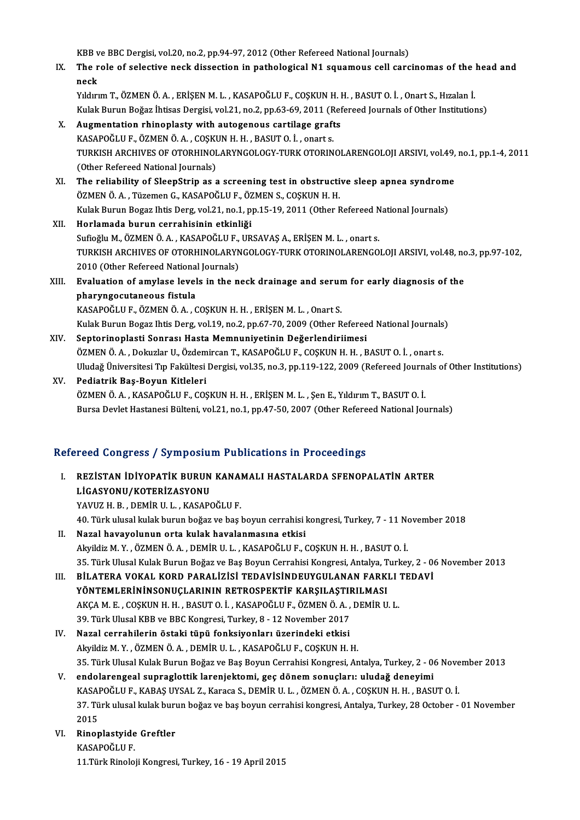KBB ve BBC Dergisi, vol.20, no.2, pp.94-97, 2012 (Other Refereed National Journals)<br>The role of selective neek dissection in nathelegisel N1 sevemeve sell cang

IX. The role of selective neck dissection in pathological N1 squamous cell carcinomas of the head and neck KBB v<br>The r<br>neck<br><sup>Vildur</sub></sup>

YıldırımT.,ÖZMENÖ.A. ,ERİŞENM.L. ,KASAPOĞLUF.,COŞKUNH.H. ,BASUTO. İ. ,OnartS.,Hızalanİ. Kulak Burun Boğaz İhtisas Dergisi, vol.21, no.2, pp.63-69, 2011 (Refereed Journals of Other Institutions)

- X. Augmentation rhinoplasty with autogenous cartilage grafts Kulak Burun Boğaz İhtisas Dergisi, vol.21, no.2, pp.63-69, 2011 (R<br>Augmentation rhinoplasty with autogenous cartilage graft<br>KASAPOĞLU F., ÖZMEN Ö. A. , COŞKUN H. H. , BASUT O. İ. , onart s.<br>TURKISH ARCHIVES OF OTORHINOLARY TURKISH ARCHIVES OF OTORHINOLARYNGOLOGY-TURK OTORINOLARENGOLOJI ARSIVI, vol.49, no.1, pp.1-4, 2011<br>(Other Refereed National Journals) KASAPOĞLU F., ÖZMEN Ö. A. , COŞKI<br>TURKISH ARCHIVES OF OTORHINOI<br>(Other Refereed National Journals)<br>The reliability of SleepStrip as a TURKISH ARCHIVES OF OTORHINOLARYNGOLOGY-TURK OTORINOLARENGOLOJI ARSIVI, vol.49,<br>(Other Refereed National Journals)<br>XI. The reliability of SleepStrip as a screening test in obstructive sleep apnea syndrome<br> $\ddot{o}$ ZMEN $\ddot{o}$
- (Other Refereed National Journals)<br>The reliability of SleepStrip as a screening test in obstructi<br>ÖZMEN Ö.A., Tüzemen G., KASAPOĞLU F., ÖZMEN S., COŞKUN H. H.<br>Kulak Burun Bogaz İhtis Derg val 21 no 1 nn 15 19 2011 (Other E The reliability of SleepStrip as a screening test in obstructive sleep apnea syndrome<br>ÖZMEN Ö. A. , Tüzemen G., KASAPOĞLU F., ÖZMEN S., COŞKUN H. H.<br>Kulak Burun Bogaz Ihtis Derg, vol.21, no.1, pp.15-19, 2011 (Other Referee ÖZMEN Ö. A. , Tüzemen G., KASAPOĞLU F., ÖZMEN S., COŞKUN H. H.<br>Kulak Burun Bogaz Ihtis Derg, vol.21, no.1, pp.15-19, 2011 (Other Refereed National Journals)<br>XII. Horlamada burun cerrahisinin etkinliği
- Kulak Burun Bogaz Ihtis Derg, vol.21, no.1, pp.15-19, 2011 (Other Refereed N<br>Horlamada burun cerrahisinin etkinliği<br>Sufioğlu M., ÖZMEN Ö. A. , KASAPOĞLU F., URSAVAŞ A., ERİŞEN M. L. , onart s.<br>TURKISH ARCHIVES OF OTORHINOL TURKISH ARCHIVES OF OTORHINOLARYNGOLOGY-TURK OTORINOLARENGOLOJI ARSIVI, vol.48, no.3, pp.97-102,<br>2010 (Other Refereed National Journals) Sufioğlu M., ÖZMEN Ö. A. , KASAPOĞLU F.,<br>TURKISH ARCHIVES OF OTORHINOLARYN<br>2010 (Other Refereed National Journals)<br>Fualuation of amylase lavels in the n TURKISH ARCHIVES OF OTORHINOLARYNGOLOGY-TURK OTORINOLARENGOLOJI ARSIVI, vol.48, no<br>2010 (Other Refereed National Journals)<br>XIII. Evaluation of amylase levels in the neck drainage and serum for early diagnosis of the<br>pharup

### 2010 (Other Refereed National<br>Evaluation of amylase level<br>pharyngocutaneous fistula<br>KASADOČLUE ÖZMENÖA Evaluation of amylase levels in the neck drainage and serur<br>pharyngocutaneous fistula<br>KASAPOĞLU F., ÖZMEN Ö. A. , COŞKUN H. H. , ERİŞEN M. L. , Onart S.<br>Kulak Burun Bogar Ibtis Dara vel 19 no 3 nn 67 70 3000 (Other B pharyngocutaneous fistula<br>KASAPOĞLU F., ÖZMEN Ö. A. , COŞKUN H. H. , ERİŞEN M. L. , Onart S.<br>Kulak Burun Bogaz Ihtis Derg, vol.19, no.2, pp.67-70, 2009 (Other Refereed National Journals)<br>Senterinenlesti Sennes: Heste Memnu KASAPOĞLU F., ÖZMEN Ö. A. , COŞKUN H. H. , ERİŞEN M. L. , Onart S.<br>Kulak Burun Bogaz Ihtis Derg, vol.19, no.2, pp.67-70, 2009 (Other Referee<br>XIV. Septorinoplasti Sonrası Hasta Memnuniyetinin Değerlendiriimesi<br>ÖZMEN Ö. A. D

- Kulak Burun Bogaz Ihtis Derg, vol.19, no.2, pp.67-70, 2009 (Other Refereed National Journals<br>Septorinoplasti Sonrası Hasta Memnuniyetinin Değerlendiriimesi<br>ÖZMEN Ö. A. , Dokuzlar U., Özdemircan T., KASAPOĞLU F., COŞKUN H. Septorinoplasti Sonrası Hasta Memnuniyetinin Değerlendiriimesi<br>ÖZMEN Ö. A. , Dokuzlar U., Özdemircan T., KASAPOĞLU F., COŞKUN H. H. , BASUT O. İ. , onart s.<br>Uludağ Üniversitesi Tıp Fakültesi Dergisi, vol.35, no.3, pp.119-1 ÖZMEN Ö. A. , Dokuzlar U., Özdemircan T., KASAPOĞLU F., COŞKUN H. H. , BASUT O. İ. , onart s.<br>Uludağ Üniversitesi Tıp Fakültesi Dergisi, vol.35, no.3, pp.119-122, 2009 (Refereed Journals of<br>XV. **Pediatrik Baş-Boyun Kit**
- Uludağ Üniversitesi Tıp Fakültesi Dergisi, vol.35, no.3, pp.119-122, 2009 (Refereed Journa<br>Pediatrik Baş-Boyun Kitleleri<br>ÖZMEN Ö. A. , KASAPOĞLU F., COŞKUN H. H. , ERİŞEN M. L. , Şen E., Yıldırım T., BASUT O. İ.<br>Bursa Davk Bursa Devlet Hastanesi Bülteni, vol.21, no.1, pp.47-50, 2007 (Other Refereed National Journals)

#### Refereed Congress / Symposium Publications in Proceedings

efereed Congress / Symposium Publications in Proceedings<br>I. REZİSTAN İDİYOPATİK BURUN KANAMALI HASTALARDA SFENOPALATİN ARTER<br>LİCASYONU (KOTERİZASYONU LIGASYONU/KOTERİZASYONU<br>LİGASYONU/KOTERİZASYONU<br>VAVUZ H. B. DEMİB ILL. KASAR REZİSTAN İDİYOPATİK BURUN KANA<br>LİGASYONU/KOTERİZASYONU<br>YAVUZ H. B. , DEMİR U. L. , KASAPOĞLU F.<br>40. Türk ulusal kılak burun boğaz ve baş l 1**.İGASYONU/KOTERİZASYONU**<br>19.Türkulusal kulak U.L., KASAPOĞLU F.<br>10. Türk ulusal kulak burun boğaz ve baş boyun cerrahisi kongresi, Turkey, 7 - 11 November 2018

- II. Nazal havayolunun orta kulak havalanmasına etkisi 40. Türk ulusal kulak burun boğaz ve baş boyun cerrahisi kongresi, Turkey, 7 - 11 No.<br>Nazal havayolunun orta kulak havalanmasına etkisi<br>Akyildiz M. Y. , ÖZMEN Ö. A. , DEMİR U. L. , KASAPOĞLU F., COŞKUN H. H. , BASUT O. İ.<br> 35. Türk Ulusal Kulak Burun Boğaz ve Baş Boyun Cerrahisi Kongresi, Antalya, Turkey, 2 - 06 November 2013<br>III. BILATERA VOKAL KORD PARALIZISI TEDAVISINDEUYGULANAN FARKLI TEDAVI Akyildiz M. Y. , ÖZMEN Ö. A. , DEMİR U. L. , KASAPOĞLU F., COŞKUN H. H. , BASUT O. İ.<br>35. Türk Ulusal Kulak Burun Boğaz ve Baş Boyun Cerrahisi Kongresi, Antalya, Turkey, 2 - 0<br>III. BİLATERA VOKAL KORD PARALİZİSİ TEDAVİ
- 35. Türk Ulusal Kulak Burun Boğaz ve Baş Boyun Cerrahisi Kongresi, Antalya, T<br>BİLATERA VOKAL KORD PARALİZİSİ TEDAVİSİNDEUYGULANAN FARKI<br>YÖNTEMLERİNİNSONUÇLARININ RETROSPEKTİF KARŞILAŞTIRILMASI<br>AKCA M. E. COSKUN U. U. PASUT BİLATERA VOKAL KORD PARALİZİSİ TEDAVİSINDEUYGULANAN FARKLI<br>YÖNTEMLERİNİNSONUÇLARININ RETROSPEKTİF KARŞILAŞTIRILMASI<br>AKÇA M. E. , COŞKUN H. H. , BASUT O. İ. , KASAPOĞLU F., ÖZMEN Ö. A. , DEMİR U. L.<br>20. Türk Ulucal KPP ve P YÖNTEMLERİNİNSONUÇLARININ RETROSPEKTİF KARŞILAŞTIH<br>AKÇA M. E. , COŞKUN H. H. , BASUT O. İ. , KASAPOĞLU F., ÖZMEN Ö. A. ,<br>39. Türk Ulusal KBB ve BBC Kongresi, Turkey, 8 - 12 November 2017<br>Nazal çarrabilerin östeki tünü fonk AKÇA M. E. , COŞKUN H. H. , BASUT O. İ. , KASAPOĞLU F., ÖZMEN Ö. A. , DEMİR U. L.<br>39. Türk Ulusal KBB ve BBC Kongresi, Turkey, 8 - 12 November 2017<br>IV. Nazal cerrahilerin östaki tüpü fonksiyonları üzerindeki etkisi
- AkyildizM.Y. ,ÖZMENÖ.A. ,DEMİRU.L. ,KASAPOĞLUF.,COŞKUNH.H. 35.TürkUlusalKulakBurunBoğazveBaşBoyunCerrahisiKongresi,Antalya,Turkey,2 -06November 2013 Akyildiz M. Y. , ÖZMEN Ö. A. , DEMİR U. L. , KASAPOĞLU F., COŞKUN H. H.<br>35. Türk Ulusal Kulak Burun Boğaz ve Baş Boyun Cerrahisi Kongresi, Antalya, Turkey, 2 - 0<br>1. endolarengeal supraglottik larenjektomi, geç dönem sonuçl
- 35. Türk Ulusal Kulak Burun Boğaz ve Baş Boyun Cerrahisi Kongresi, Antalya, Turkey, 2 06 Nove<br>endolarengeal supraglottik larenjektomi, geç dönem sonuçları: uludağ deneyimi<br>KASAPOĞLU F., KABAŞ UYSAL Z., Karaca S., DEMİR U endolarengeal supraglottik larenjektomi, geç dönem sonuçları: uludağ deneyimi<br>KASAPOĞLU F., KABAŞ UYSAL Z., Karaca S., DEMİR U. L. , ÖZMEN Ö. A. , COŞKUN H. H. , BASUT O. İ.<br>37. Türk ulusal kulak burun boğaz ve baş boyun c KASA<br>37. Tü<br>2015<br>Piner 37. Türk ulusal kulak buru<br>2015<br>VI. Rinoplastyide Greftler<br>KASAPOČLU E
- 
- 2015<br><mark>Rinoplastyide</mark><br>KASAPOĞLU F.<br>11 Türk Pinele KASAPOĞLU F.<br>11.Türk Rinoloji Kongresi, Turkey, 16 - 19 April 2015